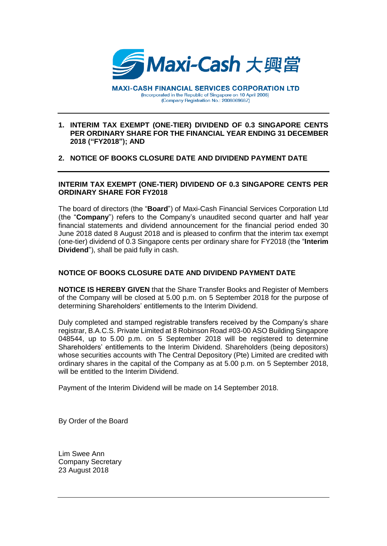

**MAXI-CASH FINANCIAL SERVICES CORPORATION LTD** (Incorporated in the Republic of Singapore on 10 April 2008) (Company Registration No.: 200806968Z)

## **1. INTERIM TAX EXEMPT (ONE-TIER) DIVIDEND OF 0.3 SINGAPORE CENTS PER ORDINARY SHARE FOR THE FINANCIAL YEAR ENDING 31 DECEMBER 2018 ("FY2018"); AND**

## **2. NOTICE OF BOOKS CLOSURE DATE AND DIVIDEND PAYMENT DATE**

## **INTERIM TAX EXEMPT (ONE-TIER) DIVIDEND OF 0.3 SINGAPORE CENTS PER ORDINARY SHARE FOR FY2018**

The board of directors (the "**Board**") of Maxi-Cash Financial Services Corporation Ltd (the "**Company**") refers to the Company's unaudited second quarter and half year financial statements and dividend announcement for the financial period ended 30 June 2018 dated 8 August 2018 and is pleased to confirm that the interim tax exempt (one-tier) dividend of 0.3 Singapore cents per ordinary share for FY2018 (the "**Interim Dividend**"), shall be paid fully in cash.

## **NOTICE OF BOOKS CLOSURE DATE AND DIVIDEND PAYMENT DATE**

**NOTICE IS HEREBY GIVEN** that the Share Transfer Books and Register of Members of the Company will be closed at 5.00 p.m. on 5 September 2018 for the purpose of determining Shareholders' entitlements to the Interim Dividend.

Duly completed and stamped registrable transfers received by the Company's share registrar, B.A.C.S. Private Limited at 8 Robinson Road #03-00 ASO Building Singapore 048544, up to 5.00 p.m. on 5 September 2018 will be registered to determine Shareholders' entitlements to the Interim Dividend. Shareholders (being depositors) whose securities accounts with The Central Depository (Pte) Limited are credited with ordinary shares in the capital of the Company as at 5.00 p.m. on 5 September 2018, will be entitled to the Interim Dividend.

Payment of the Interim Dividend will be made on 14 September 2018.

By Order of the Board

Lim Swee Ann Company Secretary 23 August 2018